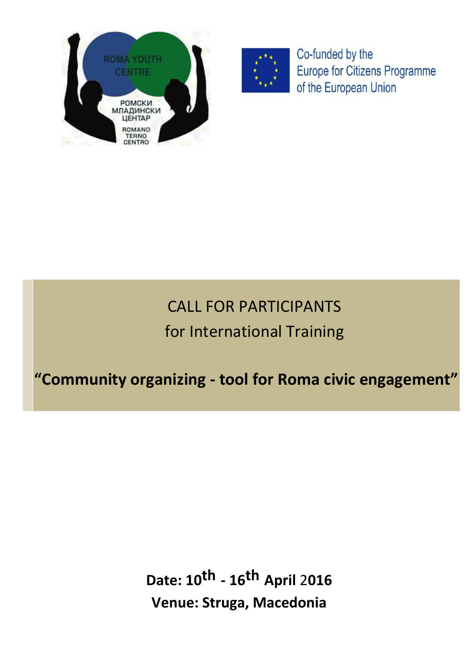



Co-funded by the Europe for Citizens Programme of the European Union

# CALL FOR PARTICIPANTS for International Training

# **"Community organizing - tool for Roma civic engagement"**

**Date: 10th - 16th April** 2**016 Venue: Struga, Macedonia**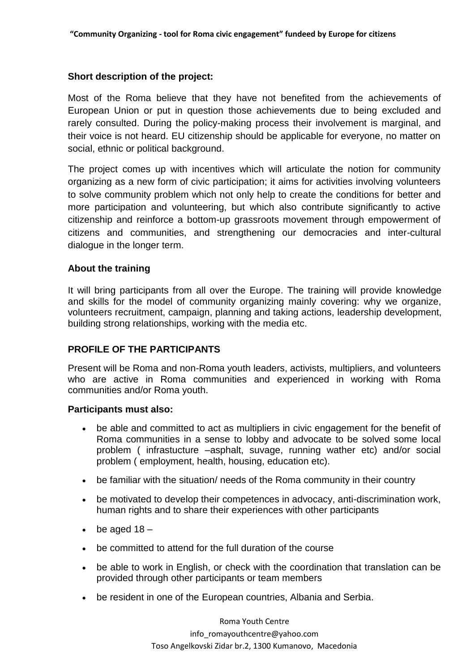# **Short description of the project:**

Most of the Roma believe that they have not benefited from the achievements of European Union or put in question those achievements due to being excluded and rarely consulted. During the policy-making process their involvement is marginal, and their voice is not heard. EU citizenship should be applicable for everyone, no matter on social, ethnic or political background.

The project comes up with incentives which will articulate the notion for community organizing as a new form of civic participation; it aims for activities involving volunteers to solve community problem which not only help to create the conditions for better and more participation and volunteering, but which also contribute significantly to active citizenship and reinforce a bottom-up grassroots movement through empowerment of citizens and communities, and strengthening our democracies and inter-cultural dialogue in the longer term.

# **About the training**

It will bring participants from all over the Europe. The training will provide knowledge and skills for the model of community organizing mainly covering: why we organize, volunteers recruitment, campaign, planning and taking actions, leadership development, building strong relationships, working with the media etc.

# **PROFILE OF THE PARTICIPANTS**

Present will be Roma and non-Roma youth leaders, activists, multipliers, and volunteers who are active in Roma communities and experienced in working with Roma communities and/or Roma youth.

## **Participants must also:**

- be able and committed to act as multipliers in civic engagement for the benefit of Roma communities in a sense to lobby and advocate to be solved some local problem ( infrastucture –asphalt, suvage, running wather etc) and/or social problem ( employment, health, housing, education etc).
- be familiar with the situation/ needs of the Roma community in their country
- be motivated to develop their competences in advocacy, anti-discrimination work, human rights and to share their experiences with other participants
- $\bullet$  be aged 18 –
- be committed to attend for the full duration of the course
- be able to work in English, or check with the coordination that translation can be provided through other participants or team members
- be resident in one of the European countries, Albania and Serbia.